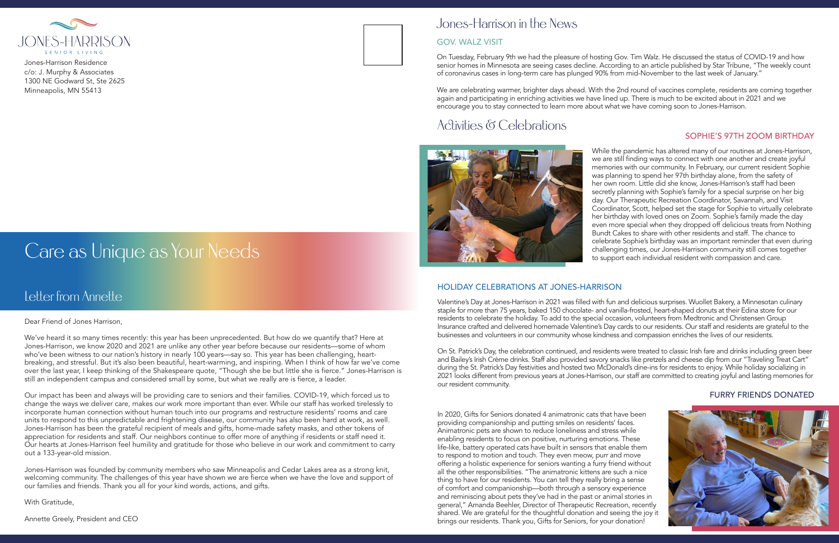# Care as Unique as Your Needs

### Letter from Annette



Jones-Harrison Residence c/o: J. Murphy & Associates 1300 NE Godward St, Ste 2625 Minneapolis, MN 55413

#### Dear Friend of Jones Harrison,

We've heard it so many times recently: this year has been unprecedented. But how do we quantify that? Here at Jones-Harrison, we know 2020 and 2021 are unlike any other year before because our residents—some of whom who've been witness to our nation's history in nearly 100 years—say so. This year has been challenging, heartbreaking, and stressful. But it's also been beautiful, heart-warming, and inspiring. When I think of how far we've come over the last year, I keep thinking of the Shakespeare quote, "Though she be but little she is fierce." Jones-Harrison is still an independent campus and considered small by some, but what we really are is fierce, a leader.

Our impact has been and always will be providing care to seniors and their families. COVID-19, which forced us to change the ways we deliver care, makes our work more important than ever. While our staff has worked tirelessly to incorporate human connection without human touch into our programs and restructure residents' rooms and care units to respond to this unpredictable and frightening disease, our community has also been hard at work, as well. Jones-Harrison has been the grateful recipient of meals and gifts, home-made safety masks, and other tokens of appreciation for residents and staff. Our neighbors continue to offer more of anything if residents or staff need it. Our hearts at Jones-Harrison feel humility and gratitude for those who believe in our work and commitment to carry out a 133-year-old mission.

Jones-Harrison was founded by community members who saw Minneapolis and Cedar Lakes area as a strong knit, welcoming community. The challenges of this year have shown we are fierce when we have the love and support of our families and friends. Thank you all for your kind words, actions, and gifts.

With Gratitude,

Annette Greely, President and CEO



### SOPHIE'S 97TH ZOOM BIRTHDAY

While the pandemic has altered many of our routines at Jones-Harrison, we are still finding ways to connect with one another and create joyful memories with our community. In February, our current resident Sophie was planning to spend her 97th birthday alone, from the safety of her own room. Little did she know, Jones-Harrison's staff had been secretly planning with Sophie's family for a special surprise on her big day. Our Therapeutic Recreation Coordinator, Savannah, and Visit Coordinator, Scott, helped set the stage for Sophie to virtually celebrate her birthday with loved ones on Zoom. Sophie's family made the day even more special when they dropped off delicious treats from Nothing Bundt Cakes to share with other residents and staff. The chance to celebrate Sophie's birthday was an important reminder that even during challenging times, our Jones-Harrison community still comes together to support each individual resident with compassion and care.

### GOV. WALZ VISIT

On Tuesday, February 9th we had the pleasure of hosting Gov. Tim Walz. He discussed the status of COVID-19 and how senior homes in Minnesota are seeing cases decline. According to an article published by Star Tribune, "The weekly count of coronavirus cases in long-term care has plunged 90% from mid-November to the last week of January."

We are celebrating warmer, brighter days ahead. With the 2nd round of vaccines complete, residents are coming together again and participating in enriching activities we have lined up. There is much to be excited about in 2021 and we encourage you to stay connected to learn more about what we have coming soon to Jones-Harrison.

### HOLIDAY CELEBRATIONS AT JONES-HARRISON

In 2020, Gifts for Seniors donated 4 animatronic cats that have been providing companionship and putting smiles on residents' faces. Animatronic pets are shown to reduce loneliness and stress while enabling residents to focus on positive, nurturing emotions. These life-like, battery operated cats have built in sensors that enable them to respond to motion and touch. They even meow, purr and move offering a holistic experience for seniors wanting a furry friend without all the other responsibilities. "The animatronic kittens are such a nice thing to have for our residents. You can tell they really bring a sense of comfort and companionship—both through a sensory experience and reminiscing about pets they've had in the past or animal stories in general," Amanda Beehler, Director of Therapeutic Recreation, recently shared. We are grateful for the thoughtful donation and seeing the joy it brings our residents. Thank you, Gifts for Seniors, for your donation!

Valentine's Day at Jones-Harrison in 2021 was filled with fun and delicious surprises. Wuollet Bakery, a Minnesotan culinary staple for more than 75 years, baked 150 chocolate- and vanilla-frosted, heart-shaped donuts at their Edina store for our residents to celebrate the holiday. To add to the special occasion, volunteers from Medtronic and Christensen Group Insurance crafted and delivered homemade Valentine's Day cards to our residents. Our staff and residents are grateful to the businesses and volunteers in our community whose kindness and compassion enriches the lives of our residents.

On St. Patrick's Day, the celebration continued, and residents were treated to classic Irish fare and drinks including green beer and Bailey's Irish Crème drinks. Staff also provided savory snacks like pretzels and cheese dip from our "Traveling Treat Cart" during the St. Patrick's Day festivities and hosted two McDonald's dine-ins for residents to enjoy. While holiday socializing in 2021 looks different from previous years at Jones-Harrison, our staff are committed to creating joyful and lasting memories for our resident community.

### FURRY FRIENDS DONATED

### Activities & Celebrations